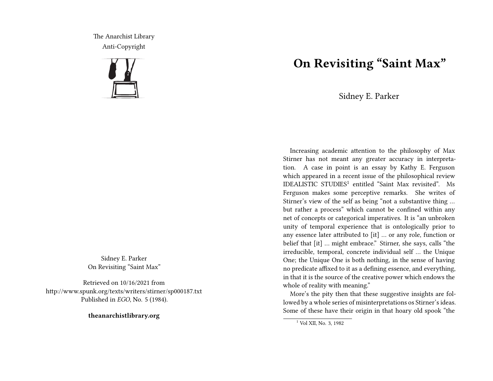The Anarchist Library Anti-Copyright



Sidney E. Parker On Revisiting "Saint Max"

Retrieved on 10/16/2021 from http://www.spunk.org/texts/writers/stirner/sp000187.txt Published in *EGO*, No. 5 (1984).

**theanarchistlibrary.org**

## **On Revisiting "Saint Max"**

Sidney E. Parker

Increasing academic attention to the philosophy of Max Stirner has not meant any greater accuracy in interpretation. A case in point is an essay by Kathy E. Ferguson which appeared in a recent issue of the philosophical review IDEALISTIC STUDIES<sup>1</sup> entitled "Saint Max revisited". Ms Ferguson makes some perceptive remarks. She writes of Stirner's view of the self as being "not a substantive thing … but rather a process" which cannot be confined within any net of concepts or categorical imperatives. It is "an unbroken unity of temporal experience that is ontologically prior to any essence later attributed to [it] … or any role, function or belief that [it] … might embrace." Stirner, she says, calls "the irreducible, temporal, concrete individual self … the Unique One; the Unique One is both nothing, in the sense of having no predicate affixed to it as a defining essence, and everything, in that it is the source of the creative power which endows the whole of reality with meaning."

More's the pity then that these suggestive insights are followed by a whole series of misinterpretations os Stirner's ideas. Some of these have their origin in that hoary old spook "the

<sup>1</sup> Vol XII, No. 3, 1982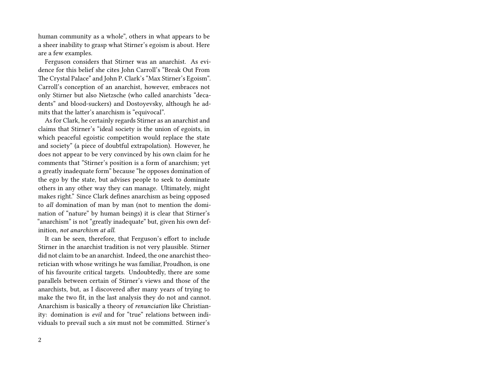human community as a whole", others in what appears to be a sheer inability to grasp what Stirner's egoism is about. Here are a few examples.

Ferguson considers that Stirner was an anarchist. As evidence for this belief she cites John Carroll's "Break Out From The Crystal Palace" and John P. Clark's "Max Stirner's Egoism". Carroll's conception of an anarchist, however, embraces not only Stirner but also Nietzsche (who called anarchists "decadents" and blood-suckers) and Dostoyevsky, although he admits that the latter's anarchism is "equivocal".

As for Clark, he certainly regards Stirner as an anarchist and claims that Stirner's "ideal society is the union of egoists, in which peaceful egoistic competition would replace the state and society" (a piece of doubtful extrapolation). However, he does not appear to be very convinced by his own claim for he comments that "Stirner's position is a form of anarchism; yet a greatly inadequate form" because "he opposes domination of the ego by the state, but advises people to seek to dominate others in any other way they can manage. Ultimately, might makes right." Since Clark defines anarchism as being opposed to *all* domination of man by man (not to mention the domination of "nature" by human beings) it is clear that Stirner's "anarchism" is not "greatly inadequate" but, given his own definition, *not anarchism at all*.

It can be seen, therefore, that Ferguson's effort to include Stirner in the anarchist tradition is not very plausible. Stirner did not claim to be an anarchist. Indeed, the one anarchist theoretician with whose writings he was familiar, Proudhon, is one of his favourite critical targets. Undoubtedly, there are some parallels between certain of Stirner's views and those of the anarchists, but, as I discovered after many years of trying to make the two fit, in the last analysis they do not and cannot. Anarchism is basically a theory of *renunciation* like Christianity: domination is *evil* and for "true" relations between individuals to prevail such a *sin* must not be committed. Stirner's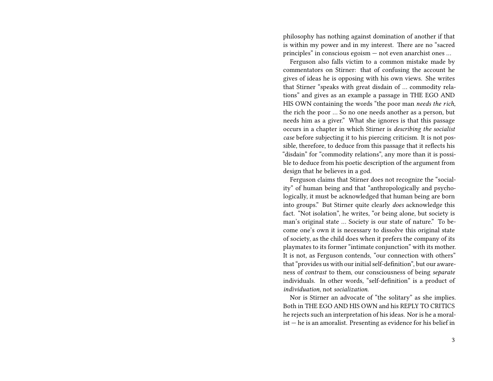philosophy has nothing against domination of another if that is within my power and in my interest. There are no "sacred principles" in conscious egoism — not even anarchist ones …

Ferguson also falls victim to a common mistake made by commentators on Stirner: that of confusing the account he gives of ideas he is opposing with his own views. She writes that Stirner "speaks with great disdain of … commodity relations" and gives as an example a passage in THE EGO AND HIS OWN containing the words "the poor man *needs the rich*, the rich the poor … So no one needs another as a person, but needs him as a giver." What she ignores is that this passage occurs in a chapter in which Stirner is *describing the socialist case* before subjecting it to his piercing criticism. It is not possible, therefore, to deduce from this passage that it reflects his "disdain" for "commodity relations", any more than it is possible to deduce from his poetic description of the argument from design that he believes in a god.

Ferguson claims that Stirner does not recognize the "sociality" of human being and that "anthropologically and psychologically, it must be acknowledged that human being are born into groups." But Stirner quite clearly *does* acknowledge this fact. "Not isolation", he writes, "or being alone, but society is man's original state … Society is our state of nature." To become one's own it is necessary to dissolve this original state of society, as the child does when it prefers the company of its playmates to its former "intimate conjunction" with its mother. It is not, as Ferguson contends, "our connection with others" that "provides us with our initial self-definition", but our awareness of *contrast* to them, our consciousness of being *separate* individuals. In other words, "self-definition" is a product of *individuation*, not *socialization*.

Nor is Stirner an advocate of "the solitary" as she implies. Both in THE EGO AND HIS OWN and his REPLY TO CRITICS he rejects such an interpretation of his ideas. Nor is he a moralist — he is an amoralist. Presenting as evidence for his belief in